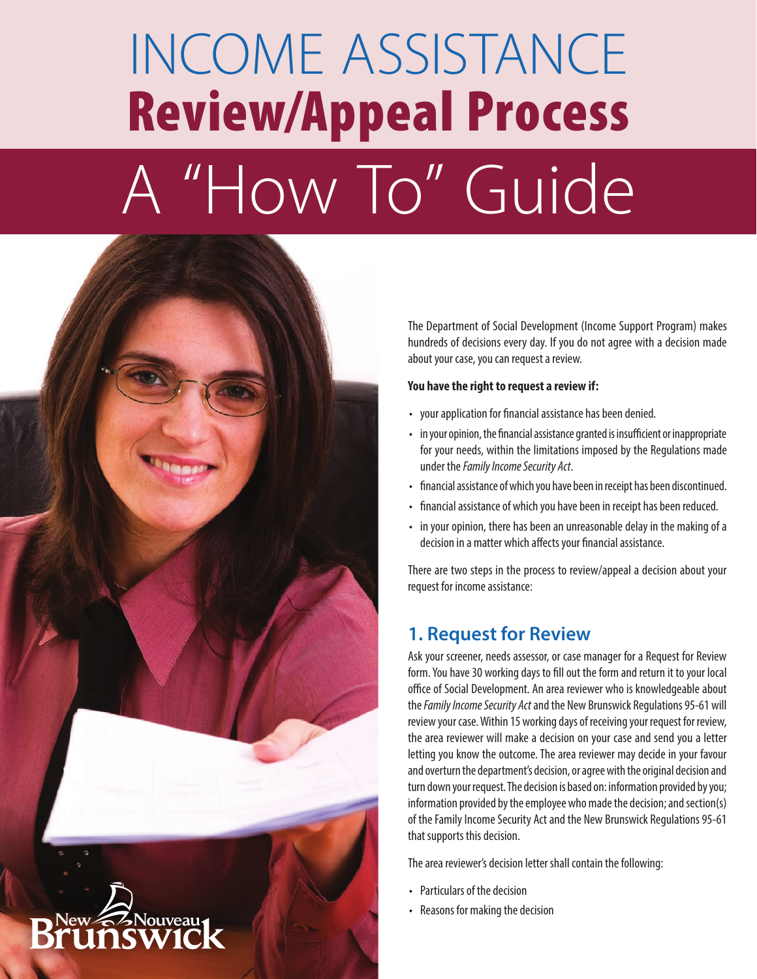# INCOME ASSISTANCE Review/Appeal Process A "How To" Guide



The Department of Social Development (Income Support Program) makes hundreds of decisions every day. If you do not agree with a decision made about your case, you can request a review.

#### **You have the right to request a review if:**

- your application for financial assistance has been denied.
- in your opinion, the financial assistance granted is insufficient or inappropriate for your needs, within the limitations imposed by the Regulations made under the *Family Income Security Act*.
- financial assistance of which you have been in receipt has been discontinued.
- financial assistance of which you have been in receipt has been reduced.
- in your opinion, there has been an unreasonable delay in the making of a decision in a matter which affects your financial assistance.

There are two steps in the process to review/appeal a decision about your request for income assistance:

## **1. Request for Review**

Ask your screener, needs assessor, or case manager for a Request for Review form. You have 30 working days to fill out the form and return it to your local office of Social Development. An area reviewer who is knowledgeable about the *Family Income Security Act* and the New Brunswick Regulations 95-61 will review your case. Within 15 working days of receiving your request for review, the area reviewer will make a decision on your case and send you a letter letting you know the outcome. The area reviewer may decide in your favour and overturn the department's decision, or agree with the original decision and turn down your request. The decision is based on: information provided by you; information provided by the employee who made the decision; and section(s) of the Family Income Security Act and the New Brunswick Regulations 95-61 that supports this decision.

The area reviewer's decision letter shall contain the following:

- Particulars of the decision
- Reasons for making the decision